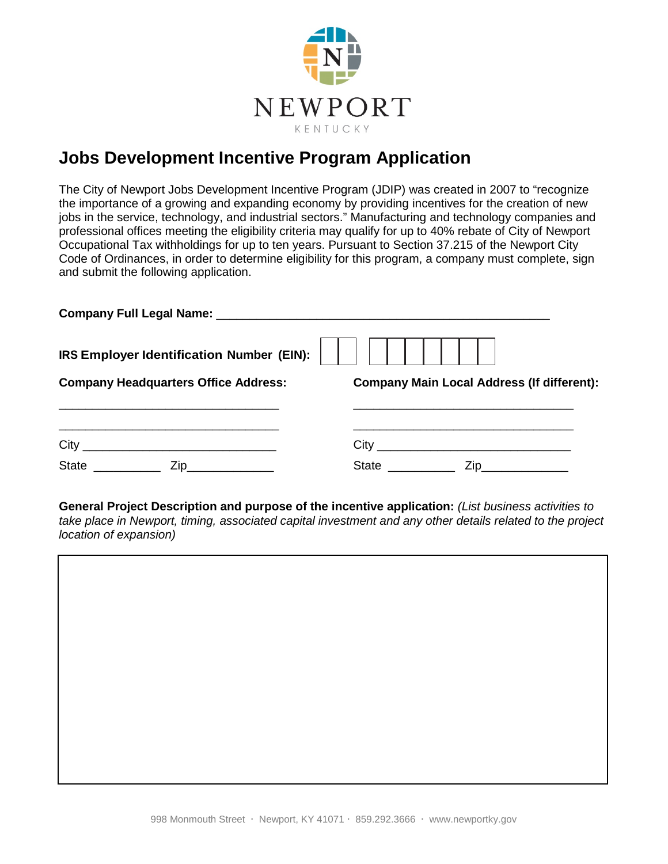

## **Jobs Development Incentive Program Application**

The City of Newport Jobs Development Incentive Program (JDIP) was created in 2007 to "recognize the importance of a growing and expanding economy by providing incentives for the creation of new jobs in the service, technology, and industrial sectors." Manufacturing and technology companies and professional offices meeting the eligibility criteria may qualify for up to 40% rebate of City of Newport Occupational Tax withholdings for up to ten years. Pursuant to Section 37.215 of the Newport City Code of Ordinances, in order to determine eligibility for this program, a company must complete, sign and submit the following application.

| <b>IRS Employer Identification Number (EIN):</b> $\begin{vmatrix} \cdot & \cdot & \cdot \\ \cdot & \cdot & \cdot \\ \cdot & \cdot & \cdot \end{vmatrix}$ |                                                   |
|----------------------------------------------------------------------------------------------------------------------------------------------------------|---------------------------------------------------|
| <b>Company Headquarters Office Address:</b>                                                                                                              | <b>Company Main Local Address (If different):</b> |
|                                                                                                                                                          |                                                   |
|                                                                                                                                                          |                                                   |
| State Zip                                                                                                                                                | State <u>Constantine Zip</u>                      |

**General Project Description and purpose of the incentive application:** *(List business activities to take place in Newport, timing, associated capital investment and any other details related to the project location of expansion)*